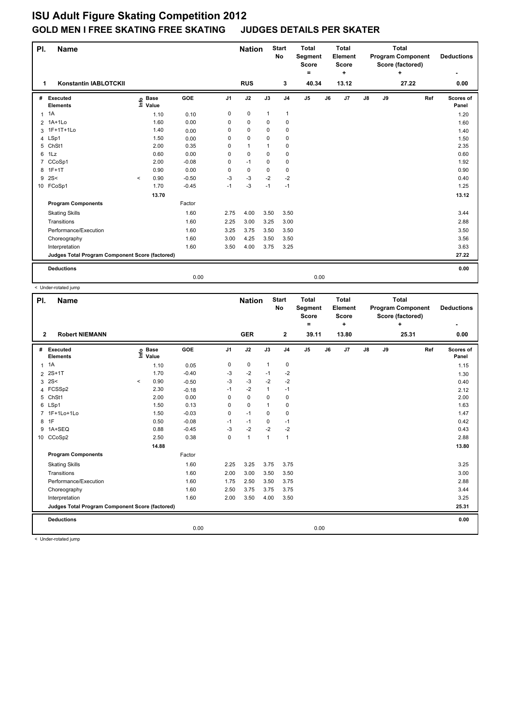## **ISU Adult Figure Skating Competition 2012 GOLD MEN I FREE SKATING FREE SKATING JUDGES DETAILS PER SKATER**

| PI.            | <b>Name</b>                                     |         |                            |         |                | <b>Nation</b> |              | <b>Start</b><br><b>No</b> | <b>Total</b><br>Segment<br><b>Score</b><br>۰ |    | <b>Total</b><br>Element<br><b>Score</b><br>÷ |               | <b>Total</b><br><b>Program Component</b><br>Score (factored)<br>÷ |       |     | <b>Deductions</b>  |
|----------------|-------------------------------------------------|---------|----------------------------|---------|----------------|---------------|--------------|---------------------------|----------------------------------------------|----|----------------------------------------------|---------------|-------------------------------------------------------------------|-------|-----|--------------------|
| 1              | <b>Konstantin IABLOTCKII</b>                    |         |                            |         |                | <b>RUS</b>    |              | 3                         | 40.34                                        |    | 13.12                                        |               |                                                                   | 27.22 |     | 0.00               |
| #              | Executed<br><b>Elements</b>                     |         | e Base<br>E Value<br>Value | GOE     | J <sub>1</sub> | J2            | J3           | J <sub>4</sub>            | J5                                           | J6 | J7                                           | $\mathsf{J}8$ | J9                                                                |       | Ref | Scores of<br>Panel |
| $\mathbf{1}$   | 1A                                              |         | 1.10                       | 0.10    | 0              | $\mathbf 0$   | $\mathbf{1}$ | 1                         |                                              |    |                                              |               |                                                                   |       |     | 1.20               |
|                | 2 1A+1Lo                                        |         | 1.60                       | 0.00    | 0              | 0             | 0            | 0                         |                                              |    |                                              |               |                                                                   |       |     | 1.60               |
| 3              | 1F+1T+1Lo                                       |         | 1.40                       | 0.00    | 0              | $\mathbf 0$   | $\Omega$     | $\pmb{0}$                 |                                              |    |                                              |               |                                                                   |       |     | 1.40               |
| $\overline{4}$ | LSp1                                            |         | 1.50                       | 0.00    | 0              | $\mathbf 0$   | $\mathbf 0$  | $\mathbf 0$               |                                              |    |                                              |               |                                                                   |       |     | 1.50               |
| 5              | ChSt1                                           |         | 2.00                       | 0.35    | 0              | $\mathbf{1}$  | 1            | $\pmb{0}$                 |                                              |    |                                              |               |                                                                   |       |     | 2.35               |
| 6              | 1Lz                                             |         | 0.60                       | 0.00    | 0              | $\mathbf 0$   | 0            | $\pmb{0}$                 |                                              |    |                                              |               |                                                                   |       |     | 0.60               |
| $\overline{7}$ | CCoSp1                                          |         | 2.00                       | $-0.08$ | 0              | $-1$          | $\Omega$     | $\pmb{0}$                 |                                              |    |                                              |               |                                                                   |       |     | 1.92               |
| 8              | $1F+1T$                                         |         | 0.90                       | 0.00    | 0              | $\pmb{0}$     | $\mathbf 0$  | $\pmb{0}$                 |                                              |    |                                              |               |                                                                   |       |     | 0.90               |
| 9              | 2S<                                             | $\prec$ | 0.90                       | $-0.50$ | $-3$           | $-3$          | $-2$         | $-2$                      |                                              |    |                                              |               |                                                                   |       |     | 0.40               |
|                | 10 FCoSp1                                       |         | 1.70                       | $-0.45$ | $-1$           | $-3$          | $-1$         | $-1$                      |                                              |    |                                              |               |                                                                   |       |     | 1.25               |
|                |                                                 |         | 13.70                      |         |                |               |              |                           |                                              |    |                                              |               |                                                                   |       |     | 13.12              |
|                | <b>Program Components</b>                       |         |                            | Factor  |                |               |              |                           |                                              |    |                                              |               |                                                                   |       |     |                    |
|                | <b>Skating Skills</b>                           |         |                            | 1.60    | 2.75           | 4.00          | 3.50         | 3.50                      |                                              |    |                                              |               |                                                                   |       |     | 3.44               |
|                | Transitions                                     |         |                            | 1.60    | 2.25           | 3.00          | 3.25         | 3.00                      |                                              |    |                                              |               |                                                                   |       |     | 2.88               |
|                | Performance/Execution                           |         |                            | 1.60    | 3.25           | 3.75          | 3.50         | 3.50                      |                                              |    |                                              |               |                                                                   |       |     | 3.50               |
|                | Choreography                                    |         |                            | 1.60    | 3.00           | 4.25          | 3.50         | 3.50                      |                                              |    |                                              |               |                                                                   |       |     | 3.56               |
|                | Interpretation                                  |         |                            | 1.60    | 3.50           | 4.00          | 3.75         | 3.25                      |                                              |    |                                              |               |                                                                   |       |     | 3.63               |
|                | Judges Total Program Component Score (factored) |         |                            |         |                |               |              |                           |                                              |    |                                              |               |                                                                   |       |     | 27.22              |
|                | <b>Deductions</b>                               |         |                            |         |                |               |              |                           |                                              |    |                                              |               |                                                                   |       |     | 0.00               |
|                |                                                 |         |                            | 0.00    |                |               |              |                           | 0.00                                         |    |                                              |               |                                                                   |       |     |                    |

< Under-rotated jump

| PI.<br><b>Name</b><br>$\mathbf{2}$ |                                                 |       |                      |         |                |                |                | <b>Start</b><br>No | <b>Total</b><br>Segment<br><b>Score</b><br>٠ |    | Total<br>Element<br><b>Score</b><br>٠ |    | Total<br><b>Program Component</b><br>Score (factored) |       | <b>Deductions</b> |                    |
|------------------------------------|-------------------------------------------------|-------|----------------------|---------|----------------|----------------|----------------|--------------------|----------------------------------------------|----|---------------------------------------|----|-------------------------------------------------------|-------|-------------------|--------------------|
|                                    | <b>Robert NIEMANN</b>                           |       |                      |         |                | <b>GER</b>     |                | $\mathbf{2}$       | 39.11                                        |    | 13.80                                 |    |                                                       | 25.31 |                   | 0.00               |
| #                                  | Executed<br><b>Elements</b>                     | ١nfo  | <b>Base</b><br>Value | GOE     | J <sub>1</sub> | J2             | J3             | J <sub>4</sub>     | J <sub>5</sub>                               | J6 | J7                                    | J8 | J9                                                    |       | Ref               | Scores of<br>Panel |
| $\mathbf{1}$                       | 1A                                              |       | 1.10                 | 0.05    | 0              | $\mathbf 0$    | $\mathbf{1}$   | 0                  |                                              |    |                                       |    |                                                       |       |                   | 1.15               |
| $\overline{2}$                     | $2S+1T$                                         |       | 1.70                 | $-0.40$ | $-3$           | $-2$           | $-1$           | $-2$               |                                              |    |                                       |    |                                                       |       |                   | 1.30               |
| 3                                  | 2S<                                             | $\,<$ | 0.90                 | $-0.50$ | $-3$           | $-3$           | $-2$           | $-2$               |                                              |    |                                       |    |                                                       |       |                   | 0.40               |
| 4                                  | FCSSp2                                          |       | 2.30                 | $-0.18$ | $-1$           | $-2$           | $\mathbf{1}$   | $-1$               |                                              |    |                                       |    |                                                       |       |                   | 2.12               |
| 5                                  | ChSt1                                           |       | 2.00                 | 0.00    | 0              | $\mathbf 0$    | 0              | $\mathbf 0$        |                                              |    |                                       |    |                                                       |       |                   | 2.00               |
|                                    | 6 LSp1                                          |       | 1.50                 | 0.13    | 0              | $\mathbf 0$    | 1              | 0                  |                                              |    |                                       |    |                                                       |       |                   | 1.63               |
|                                    | 7 1F+1Lo+1Lo                                    |       | 1.50                 | $-0.03$ | 0              | $-1$           | $\Omega$       | 0                  |                                              |    |                                       |    |                                                       |       |                   | 1.47               |
| 8                                  | 1F                                              |       | 0.50                 | $-0.08$ | $-1$           | $-1$           | $\mathbf 0$    | $-1$               |                                              |    |                                       |    |                                                       |       |                   | 0.42               |
| 9                                  | 1A+SEQ                                          |       | 0.88                 | $-0.45$ | $-3$           | $-2$           | $-2$           | $-2$               |                                              |    |                                       |    |                                                       |       |                   | 0.43               |
|                                    | 10 CCoSp2                                       |       | 2.50                 | 0.38    | $\mathbf 0$    | $\overline{1}$ | $\overline{1}$ | $\mathbf{1}$       |                                              |    |                                       |    |                                                       |       |                   | 2.88               |
|                                    |                                                 |       | 14.88                |         |                |                |                |                    |                                              |    |                                       |    |                                                       |       |                   | 13.80              |
|                                    | <b>Program Components</b>                       |       |                      | Factor  |                |                |                |                    |                                              |    |                                       |    |                                                       |       |                   |                    |
|                                    | <b>Skating Skills</b>                           |       |                      | 1.60    | 2.25           | 3.25           | 3.75           | 3.75               |                                              |    |                                       |    |                                                       |       |                   | 3.25               |
|                                    | Transitions                                     |       |                      | 1.60    | 2.00           | 3.00           | 3.50           | 3.50               |                                              |    |                                       |    |                                                       |       |                   | 3.00               |
|                                    | Performance/Execution                           |       |                      | 1.60    | 1.75           | 2.50           | 3.50           | 3.75               |                                              |    |                                       |    |                                                       |       |                   | 2.88               |
|                                    | Choreography                                    |       |                      | 1.60    | 2.50           | 3.75           | 3.75           | 3.75               |                                              |    |                                       |    |                                                       |       |                   | 3.44               |
|                                    | Interpretation                                  |       |                      | 1.60    | 2.00           | 3.50           | 4.00           | 3.50               |                                              |    |                                       |    |                                                       |       |                   | 3.25               |
|                                    | Judges Total Program Component Score (factored) |       |                      |         |                |                |                |                    |                                              |    |                                       |    |                                                       |       |                   | 25.31              |
|                                    | <b>Deductions</b>                               |       |                      |         |                |                |                |                    |                                              |    |                                       |    |                                                       |       |                   | 0.00               |
|                                    |                                                 |       |                      | 0.00    |                |                |                |                    | 0.00                                         |    |                                       |    |                                                       |       |                   |                    |
|                                    | the film along products of films or             |       |                      |         |                |                |                |                    |                                              |    |                                       |    |                                                       |       |                   |                    |

< Under-rotated jump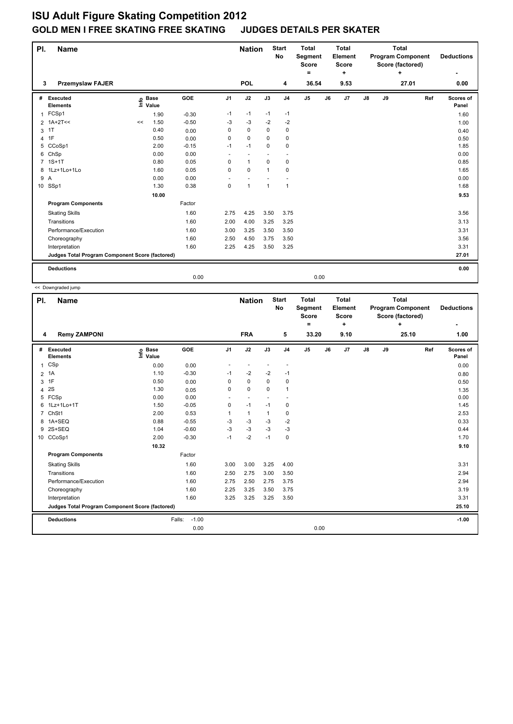## **ISU Adult Figure Skating Competition 2012 GOLD MEN I FREE SKATING FREE SKATING JUDGES DETAILS PER SKATER**

| PI.            | <b>Name</b>                                     |    |                            |            |                | <b>Nation</b> | <b>Start</b><br><b>No</b> | <b>Total</b><br>Segment<br><b>Score</b><br>۰ |       | <b>Total</b><br>Element<br><b>Score</b><br>٠ |      |    | <b>Total</b><br><b>Program Component</b><br>Score (factored)<br>÷ | <b>Deductions</b> |     |                    |
|----------------|-------------------------------------------------|----|----------------------------|------------|----------------|---------------|---------------------------|----------------------------------------------|-------|----------------------------------------------|------|----|-------------------------------------------------------------------|-------------------|-----|--------------------|
| 3              | <b>Przemyslaw FAJER</b>                         |    |                            |            |                | POL           |                           | 4                                            | 36.54 |                                              | 9.53 |    |                                                                   | 27.01             |     | 0.00               |
| #              | Executed<br><b>Elements</b>                     |    | e Base<br>E Value<br>Value | <b>GOE</b> | J <sub>1</sub> | J2            | J3                        | J <sub>4</sub>                               | J5    | J6                                           | J7   | J8 | J9                                                                |                   | Ref | Scores of<br>Panel |
| $\mathbf{1}$   | FCSp1                                           |    | 1.90                       | $-0.30$    | $-1$           | $-1$          | $-1$                      | $-1$                                         |       |                                              |      |    |                                                                   |                   |     | 1.60               |
|                | $2$ 1A+2T <<                                    | << | 1.50                       | $-0.50$    | -3             | $-3$          | $-2$                      | $-2$                                         |       |                                              |      |    |                                                                   |                   |     | 1.00               |
| 3              | 1T                                              |    | 0.40                       | 0.00       | 0              | $\mathbf 0$   | $\Omega$                  | 0                                            |       |                                              |      |    |                                                                   |                   |     | 0.40               |
| $\overline{4}$ | 1F                                              |    | 0.50                       | 0.00       | 0              | $\mathbf 0$   | 0                         | $\mathbf 0$                                  |       |                                              |      |    |                                                                   |                   |     | 0.50               |
|                | 5 CCoSp1                                        |    | 2.00                       | $-0.15$    | $-1$           | $-1$          | $\Omega$                  | $\mathbf 0$                                  |       |                                              |      |    |                                                                   |                   |     | 1.85               |
| 6              | ChSp                                            |    | 0.00                       | 0.00       | ٠              |               |                           | ٠.                                           |       |                                              |      |    |                                                                   |                   |     | 0.00               |
| $7^{\circ}$    | $1S+1T$                                         |    | 0.80                       | 0.05       | 0              | $\mathbf{1}$  | $\mathbf 0$               | $\pmb{0}$                                    |       |                                              |      |    |                                                                   |                   |     | 0.85               |
| 8              | 1Lz+1Lo+1Lo                                     |    | 1.60                       | 0.05       | 0              | $\mathbf 0$   | $\mathbf{1}$              | $\mathbf 0$                                  |       |                                              |      |    |                                                                   |                   |     | 1.65               |
| 9 A            |                                                 |    | 0.00                       | 0.00       | ٠              |               |                           |                                              |       |                                              |      |    |                                                                   |                   |     | 0.00               |
|                | 10 SSp1                                         |    | 1.30                       | 0.38       | 0              | $\mathbf{1}$  | $\mathbf{1}$              | $\mathbf{1}$                                 |       |                                              |      |    |                                                                   |                   |     | 1.68               |
|                |                                                 |    | 10.00                      |            |                |               |                           |                                              |       |                                              |      |    |                                                                   |                   |     | 9.53               |
|                | <b>Program Components</b>                       |    |                            | Factor     |                |               |                           |                                              |       |                                              |      |    |                                                                   |                   |     |                    |
|                | <b>Skating Skills</b>                           |    |                            | 1.60       | 2.75           | 4.25          | 3.50                      | 3.75                                         |       |                                              |      |    |                                                                   |                   |     | 3.56               |
|                | Transitions                                     |    |                            | 1.60       | 2.00           | 4.00          | 3.25                      | 3.25                                         |       |                                              |      |    |                                                                   |                   |     | 3.13               |
|                | Performance/Execution                           |    |                            | 1.60       | 3.00           | 3.25          | 3.50                      | 3.50                                         |       |                                              |      |    |                                                                   |                   |     | 3.31               |
|                | Choreography                                    |    |                            | 1.60       | 2.50           | 4.50          | 3.75                      | 3.50                                         |       |                                              |      |    |                                                                   |                   |     | 3.56               |
|                | Interpretation                                  |    |                            | 1.60       | 2.25           | 4.25          | 3.50                      | 3.25                                         |       |                                              |      |    |                                                                   |                   |     | 3.31               |
|                | Judges Total Program Component Score (factored) |    |                            |            |                |               |                           |                                              |       |                                              |      |    |                                                                   |                   |     | 27.01              |
|                | <b>Deductions</b>                               |    |                            |            |                |               |                           |                                              |       |                                              |      |    |                                                                   |                   |     | 0.00               |
|                |                                                 |    |                            | 0.00       |                |               |                           |                                              | 0.00  |                                              |      |    |                                                                   |                   |     |                    |

<< Downgraded jump

| PI.<br><b>Name</b> |                                                 |                              |                   |                | <b>Nation</b>            |                          | <b>Start</b><br>No | <b>Total</b><br>Segment<br><b>Score</b><br>۰ | <b>Total</b><br>Element<br><b>Score</b><br>÷ |      | <b>Total</b><br><b>Program Component</b><br>Score (factored)<br>÷ |    |       |     | <b>Deductions</b>  |  |
|--------------------|-------------------------------------------------|------------------------------|-------------------|----------------|--------------------------|--------------------------|--------------------|----------------------------------------------|----------------------------------------------|------|-------------------------------------------------------------------|----|-------|-----|--------------------|--|
| 4                  | <b>Remy ZAMPONI</b>                             |                              |                   |                | <b>FRA</b>               |                          | 5                  | 33.20                                        |                                              | 9.10 |                                                                   |    | 25.10 |     | 1.00               |  |
| #                  | <b>Executed</b><br><b>Elements</b>              | <b>Base</b><br>١nf٥<br>Value | GOE               | J <sub>1</sub> | J2                       | J3                       | J <sub>4</sub>     | J <sub>5</sub>                               | J6                                           | J7   | J8                                                                | J9 |       | Ref | Scores of<br>Panel |  |
| $\mathbf 1$        | CSp                                             | 0.00                         | 0.00              |                |                          |                          |                    |                                              |                                              |      |                                                                   |    |       |     | 0.00               |  |
| $\overline{2}$     | 1A                                              | 1.10                         | $-0.30$           | $-1$           | $-2$                     | $-2$                     | $-1$               |                                              |                                              |      |                                                                   |    |       |     | 0.80               |  |
| 3                  | 1F                                              | 0.50                         | 0.00              | 0              | $\mathbf 0$              | 0                        | $\mathbf 0$        |                                              |                                              |      |                                                                   |    |       |     | 0.50               |  |
| 4                  | 2S                                              | 1.30                         | 0.05              | 0              | 0                        | $\Omega$                 | $\overline{1}$     |                                              |                                              |      |                                                                   |    |       |     | 1.35               |  |
| 5                  | FCSp                                            | 0.00                         | 0.00              | ÷,             | $\overline{\phantom{a}}$ | $\overline{\phantom{a}}$ |                    |                                              |                                              |      |                                                                   |    |       |     | 0.00               |  |
| 6                  | 1Lz+1Lo+1T                                      | 1.50                         | $-0.05$           | $\mathbf 0$    | $-1$                     | $-1$                     | 0                  |                                              |                                              |      |                                                                   |    |       |     | 1.45               |  |
| $\overline{7}$     | ChSt1                                           | 2.00                         | 0.53              | 1              | $\mathbf{1}$             | $\mathbf{1}$             | 0                  |                                              |                                              |      |                                                                   |    |       |     | 2.53               |  |
| 8                  | 1A+SEQ                                          | 0.88                         | $-0.55$           | $-3$           | $-3$                     | -3                       | $-2$               |                                              |                                              |      |                                                                   |    |       |     | 0.33               |  |
| 9                  | 2S+SEQ                                          | 1.04                         | $-0.60$           | $-3$           | $-3$                     | $-3$                     | $-3$               |                                              |                                              |      |                                                                   |    |       |     | 0.44               |  |
|                    | 10 CCoSp1                                       | 2.00                         | $-0.30$           | $-1$           | $-2$                     | $-1$                     | $\mathbf 0$        |                                              |                                              |      |                                                                   |    |       |     | 1.70               |  |
|                    |                                                 | 10.32                        |                   |                |                          |                          |                    |                                              |                                              |      |                                                                   |    |       |     | 9.10               |  |
|                    | <b>Program Components</b>                       |                              | Factor            |                |                          |                          |                    |                                              |                                              |      |                                                                   |    |       |     |                    |  |
|                    | <b>Skating Skills</b>                           |                              | 1.60              | 3.00           | 3.00                     | 3.25                     | 4.00               |                                              |                                              |      |                                                                   |    |       |     | 3.31               |  |
|                    | Transitions                                     |                              | 1.60              | 2.50           | 2.75                     | 3.00                     | 3.50               |                                              |                                              |      |                                                                   |    |       |     | 2.94               |  |
|                    | Performance/Execution                           |                              | 1.60              | 2.75           | 2.50                     | 2.75                     | 3.75               |                                              |                                              |      |                                                                   |    |       |     | 2.94               |  |
|                    | Choreography                                    |                              | 1.60              | 2.25           | 3.25                     | 3.50                     | 3.75               |                                              |                                              |      |                                                                   |    |       |     | 3.19               |  |
|                    | Interpretation                                  |                              | 1.60              | 3.25           | 3.25                     | 3.25                     | 3.50               |                                              |                                              |      |                                                                   |    |       |     | 3.31               |  |
|                    | Judges Total Program Component Score (factored) |                              |                   |                |                          |                          |                    |                                              |                                              |      |                                                                   |    |       |     | 25.10              |  |
|                    | <b>Deductions</b>                               |                              | $-1.00$<br>Falls: |                |                          |                          |                    |                                              |                                              |      |                                                                   |    |       |     | $-1.00$            |  |
|                    |                                                 |                              | 0.00              |                |                          |                          |                    | 0.00                                         |                                              |      |                                                                   |    |       |     |                    |  |